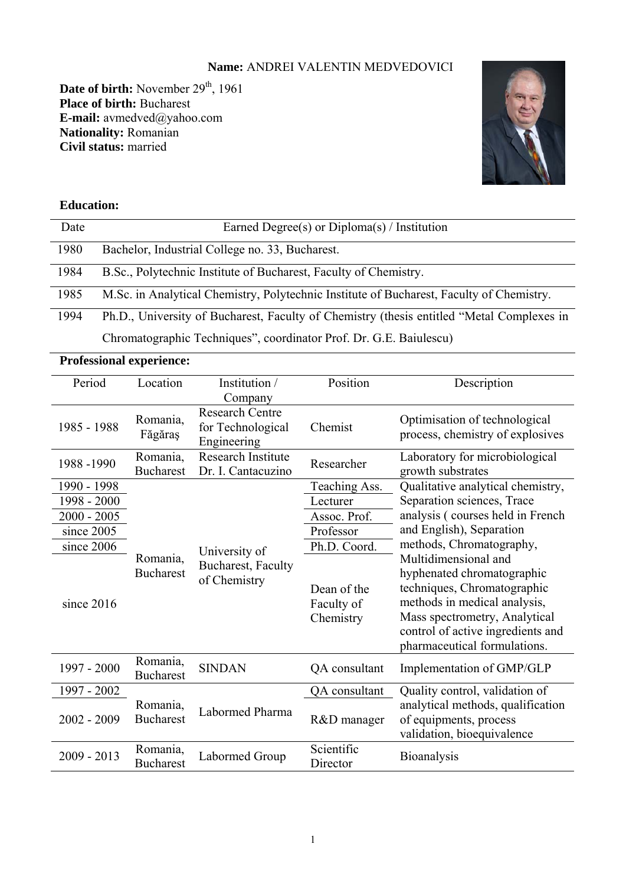# **Name:** ANDREI VALENTIN MEDVEDOVICI

Date of birth: November 29<sup>th</sup>, 1961 **Place of birth:** Bucharest **E-mail:** avmedved@yahoo.com **Nationality:** Romanian **Civil status:** married



# **Education:**

| Date | Earned Degree(s) or $Diploma(s)$ / Institution                                            |
|------|-------------------------------------------------------------------------------------------|
|      |                                                                                           |
| 1980 | Bachelor, Industrial College no. 33, Bucharest.                                           |
|      |                                                                                           |
| 1984 | B.Sc., Polytechnic Institute of Bucharest, Faculty of Chemistry.                          |
|      |                                                                                           |
| 1985 | M.Sc. in Analytical Chemistry, Polytechnic Institute of Bucharest, Faculty of Chemistry.  |
|      |                                                                                           |
|      |                                                                                           |
| 1994 | Ph.D., University of Bucharest, Faculty of Chemistry (thesis entitled "Metal Complexes in |

Chromatographic Techniques", coordinator Prof. Dr. G.E. Baiulescu)

| <b>Professional experience:</b> |                              |                                                            |                                        |                                                                                                                                                                                                                         |
|---------------------------------|------------------------------|------------------------------------------------------------|----------------------------------------|-------------------------------------------------------------------------------------------------------------------------------------------------------------------------------------------------------------------------|
| Location<br>Period              |                              | Institution /                                              | Position                               | Description                                                                                                                                                                                                             |
|                                 |                              | Company                                                    |                                        |                                                                                                                                                                                                                         |
| 1985 - 1988                     | Romania,<br>Făgăraș          | <b>Research Centre</b><br>for Technological<br>Engineering | Chemist                                | Optimisation of technological<br>process, chemistry of explosives                                                                                                                                                       |
| 1988-1990                       | Romania,<br><b>Bucharest</b> | <b>Research Institute</b><br>Dr. I. Cantacuzino            | Researcher                             | Laboratory for microbiological<br>growth substrates                                                                                                                                                                     |
| 1990 - 1998                     |                              |                                                            | Teaching Ass.                          | Qualitative analytical chemistry,                                                                                                                                                                                       |
| 1998 - 2000                     |                              |                                                            | Lecturer                               | Separation sciences, Trace                                                                                                                                                                                              |
| $2000 - 2005$                   |                              |                                                            | Assoc. Prof.                           | analysis (courses held in French                                                                                                                                                                                        |
| since 2005                      |                              |                                                            | Professor                              | and English), Separation                                                                                                                                                                                                |
| since 2006                      |                              | University of<br>Bucharest, Faculty<br>of Chemistry        | Ph.D. Coord.                           | methods, Chromatography,                                                                                                                                                                                                |
| since 2016                      | Romania,<br><b>Bucharest</b> |                                                            | Dean of the<br>Faculty of<br>Chemistry | Multidimensional and<br>hyphenated chromatographic<br>techniques, Chromatographic<br>methods in medical analysis,<br>Mass spectrometry, Analytical<br>control of active ingredients and<br>pharmaceutical formulations. |
| 1997 - 2000                     | Romania,<br><b>Bucharest</b> | <b>SINDAN</b>                                              | QA consultant                          | Implementation of GMP/GLP                                                                                                                                                                                               |
| 1997 - 2002                     |                              |                                                            | QA consultant                          | Quality control, validation of                                                                                                                                                                                          |
| $2002 - 2009$                   | Romania,<br><b>Bucharest</b> | Labormed Pharma                                            | R&D manager                            | analytical methods, qualification<br>of equipments, process<br>validation, bioequivalence                                                                                                                               |
| $2009 - 2013$                   | Romania,<br><b>Bucharest</b> | Labormed Group                                             | Scientific<br>Director                 | Bioanalysis                                                                                                                                                                                                             |

1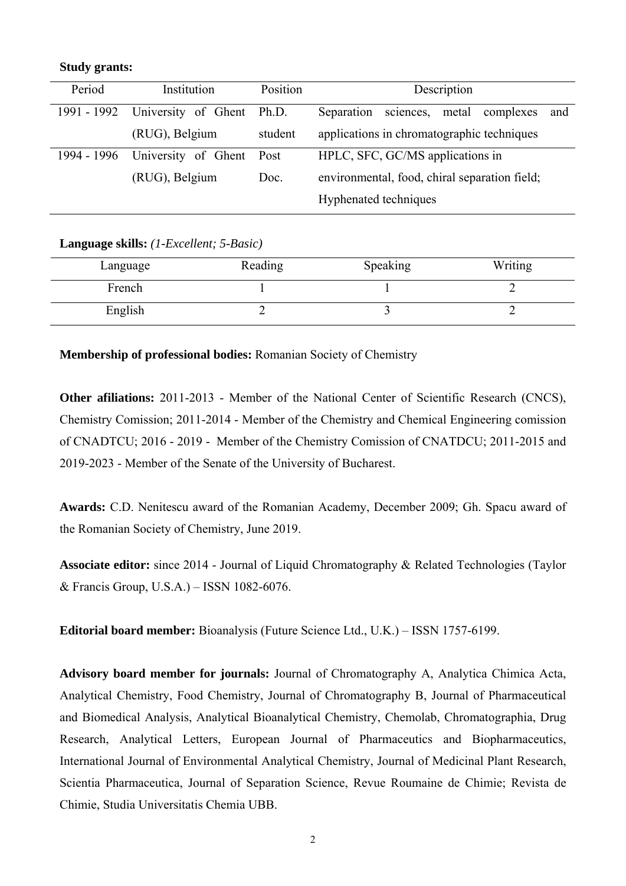#### **Study grants:**

| Period      | Institution         | Position                                              | Description                                          |
|-------------|---------------------|-------------------------------------------------------|------------------------------------------------------|
| 1991 - 1992 | University of Ghent | Ph.D.                                                 | Separation<br>metal<br>sciences,<br>complexes<br>and |
|             | (RUG), Belgium      | student                                               | applications in chromatographic techniques           |
| 1994 - 1996 | University of Ghent | Post                                                  | HPLC, SFC, GC/MS applications in                     |
|             | (RUG), Belgium      | environmental, food, chiral separation field;<br>Doc. |                                                      |
|             |                     |                                                       | Hyphenated techniques                                |

#### **Language skills:** *(1-Excellent; 5-Basic)*

| Language | Reading | Speaking | Writing |
|----------|---------|----------|---------|
| French   |         |          |         |
| English  |         |          |         |

**Membership of professional bodies:** Romanian Society of Chemistry

**Other afiliations:** 2011-2013 - Member of the National Center of Scientific Research (CNCS), Chemistry Comission; 2011-2014 - Member of the Chemistry and Chemical Engineering comission of CNADTCU; 2016 - 2019 - Member of the Chemistry Comission of CNATDCU; 2011-2015 and 2019-2023 - Member of the Senate of the University of Bucharest.

**Awards:** C.D. Nenitescu award of the Romanian Academy, December 2009; Gh. Spacu award of the Romanian Society of Chemistry, June 2019.

**Associate editor:** since 2014 - Journal of Liquid Chromatography & Related Technologies (Taylor & Francis Group, U.S.A.) – ISSN 1082-6076.

**Editorial board member:** Bioanalysis (Future Science Ltd., U.K.) – ISSN 1757-6199.

**Advisory board member for journals:** Journal of Chromatography A, Analytica Chimica Acta, Analytical Chemistry, Food Chemistry, Journal of Chromatography B, Journal of Pharmaceutical and Biomedical Analysis, Analytical Bioanalytical Chemistry, Chemolab, Chromatographia, Drug Research, Analytical Letters, European Journal of Pharmaceutics and Biopharmaceutics, International Journal of Environmental Analytical Chemistry, Journal of Medicinal Plant Research, Scientia Pharmaceutica, Journal of Separation Science, Revue Roumaine de Chimie; Revista de Chimie, Studia Universitatis Chemia UBB.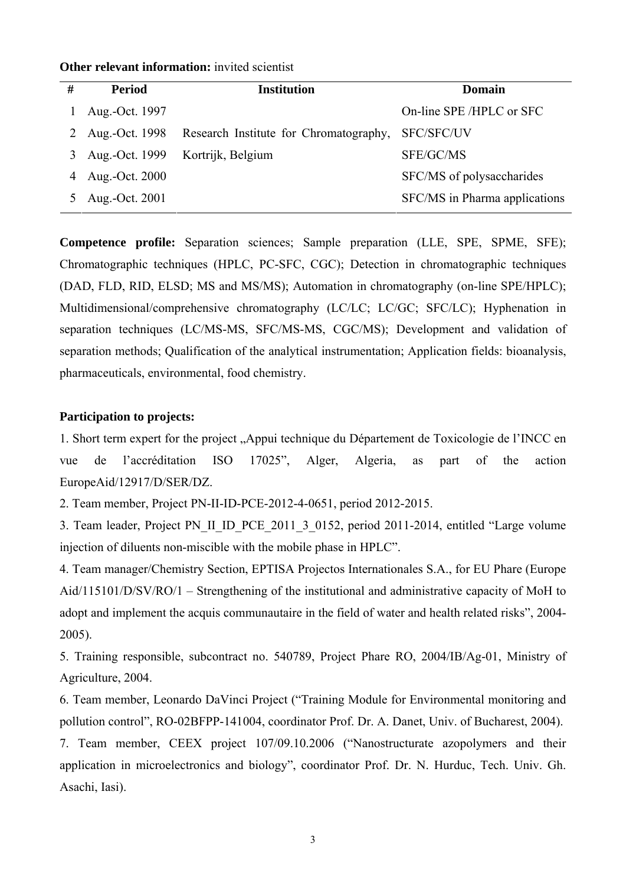| # | <b>Period</b>  | <b>Institution</b>                     | Domain                        |
|---|----------------|----------------------------------------|-------------------------------|
|   | Aug.-Oct. 1997 |                                        | On-line SPE/HPLC or SFC       |
| 2 | Aug.-Oct. 1998 | Research Institute for Chromatography, | <b>SFC/SFC/UV</b>             |
| 3 | Aug.-Oct. 1999 | Kortrijk, Belgium                      | SFE/GC/MS                     |
|   | Aug.-Oct. 2000 |                                        | SFC/MS of polysaccharides     |
|   | Aug.-Oct. 2001 |                                        | SFC/MS in Pharma applications |

#### **Other relevant information:** invited scientist

**Competence profile:** Separation sciences; Sample preparation (LLE, SPE, SPME, SFE); Chromatographic techniques (HPLC, PC-SFC, CGC); Detection in chromatographic techniques (DAD, FLD, RID, ELSD; MS and MS/MS); Automation in chromatography (on-line SPE/HPLC); Multidimensional/comprehensive chromatography (LC/LC; LC/GC; SFC/LC); Hyphenation in separation techniques (LC/MS-MS, SFC/MS-MS, CGC/MS); Development and validation of separation methods; Qualification of the analytical instrumentation; Application fields: bioanalysis, pharmaceuticals, environmental, food chemistry.

# **Participation to projects:**

1. Short term expert for the project "Appui technique du Département de Toxicologie de l'INCC en vue de l'accréditation ISO 17025", Alger, Algeria, as part of the action EuropeAid/12917/D/SER/DZ.

2. Team member, Project PN-II-ID-PCE-2012-4-0651, period 2012-2015.

3. Team leader, Project PN II\_ID\_PCE\_2011\_3\_0152, period 2011-2014, entitled "Large volume injection of diluents non-miscible with the mobile phase in HPLC".

4. Team manager/Chemistry Section, EPTISA Projectos Internationales S.A., for EU Phare (Europe Aid/115101/D/SV/RO/1 – Strengthening of the institutional and administrative capacity of MoH to adopt and implement the acquis communautaire in the field of water and health related risks", 2004- 2005).

5. Training responsible, subcontract no. 540789, Project Phare RO, 2004/IB/Ag-01, Ministry of Agriculture, 2004.

6. Team member, Leonardo DaVinci Project ("Training Module for Environmental monitoring and pollution control", RO-02BFPP-141004, coordinator Prof. Dr. A. Danet, Univ. of Bucharest, 2004).

7. Team member, CEEX project 107/09.10.2006 ("Nanostructurate azopolymers and their application in microelectronics and biology", coordinator Prof. Dr. N. Hurduc, Tech. Univ. Gh. Asachi, Iasi).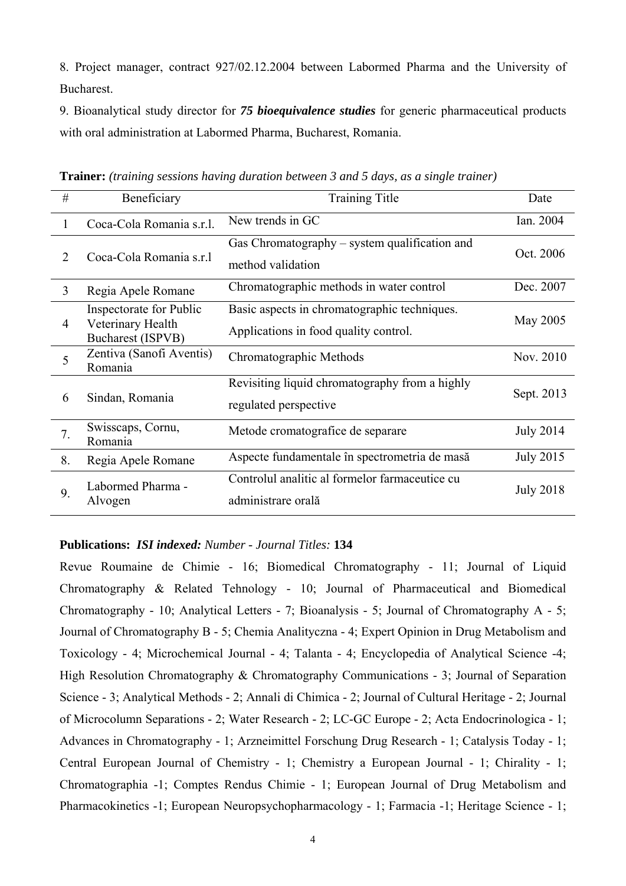8. Project manager, contract 927/02.12.2004 between Labormed Pharma and the University of Bucharest.

9. Bioanalytical study director for *75 bioequivalence studies* for generic pharmaceutical products with oral administration at Labormed Pharma, Bucharest, Romania.

| #              | Beneficiary                                                       | <b>Training Title</b>                                                                 | Date             |
|----------------|-------------------------------------------------------------------|---------------------------------------------------------------------------------------|------------------|
| 1              | Coca-Cola Romania s.r.l.                                          | New trends in GC                                                                      | Ian. 2004        |
| 2              | Coca-Cola Romania s.r.1                                           | Gas Chromatography – system qualification and<br>method validation                    | Oct. 2006        |
| $\overline{3}$ | Regia Apele Romane                                                | Chromatographic methods in water control                                              | Dec. 2007        |
| 4              | Inspectorate for Public<br>Veterinary Health<br>Bucharest (ISPVB) | Basic aspects in chromatographic techniques.<br>Applications in food quality control. | May 2005         |
| 5              | Zentiva (Sanofi Aventis)<br>Romania                               | Chromatographic Methods                                                               | Nov. 2010        |
| 6              | Sindan, Romania                                                   | Revisiting liquid chromatography from a highly<br>regulated perspective               | Sept. 2013       |
| 7.             | Swisscaps, Cornu,<br>Romania                                      | Metode cromatografice de separare                                                     | <b>July 2014</b> |
| 8.             | Regia Apele Romane                                                | Aspecte fundamentale în spectrometria de masă                                         | <b>July 2015</b> |
| 9.             | Labormed Pharma -<br>Alvogen                                      | Controlul analitic al formelor farmaceutice cu<br>administrare orală                  | <b>July 2018</b> |

**Trainer:** *(training sessions having duration between 3 and 5 days, as a single trainer)*

### **Publications:** *ISI indexed: Number - Journal Titles:* **134**

Revue Roumaine de Chimie - 16; Biomedical Chromatography - 11; Journal of Liquid Chromatography & Related Tehnology - 10; Journal of Pharmaceutical and Biomedical Chromatography - 10; Analytical Letters - 7; Bioanalysis - 5; Journal of Chromatography A - 5; Journal of Chromatography B - 5; Chemia Analityczna - 4; Expert Opinion in Drug Metabolism and Toxicology - 4; Microchemical Journal - 4; Talanta - 4; Encyclopedia of Analytical Science -4; High Resolution Chromatography & Chromatography Communications - 3; Journal of Separation Science - 3; Analytical Methods - 2; Annali di Chimica - 2; Journal of Cultural Heritage - 2; Journal of Microcolumn Separations - 2; Water Research - 2; LC-GC Europe - 2; Acta Endocrinologica - 1; Advances in Chromatography - 1; Arzneimittel Forschung Drug Research - 1; Catalysis Today - 1; Central European Journal of Chemistry - 1; Chemistry a European Journal - 1; Chirality - 1; Chromatographia -1; Comptes Rendus Chimie - 1; European Journal of Drug Metabolism and Pharmacokinetics -1; European Neuropsychopharmacology - 1; Farmacia -1; Heritage Science - 1;